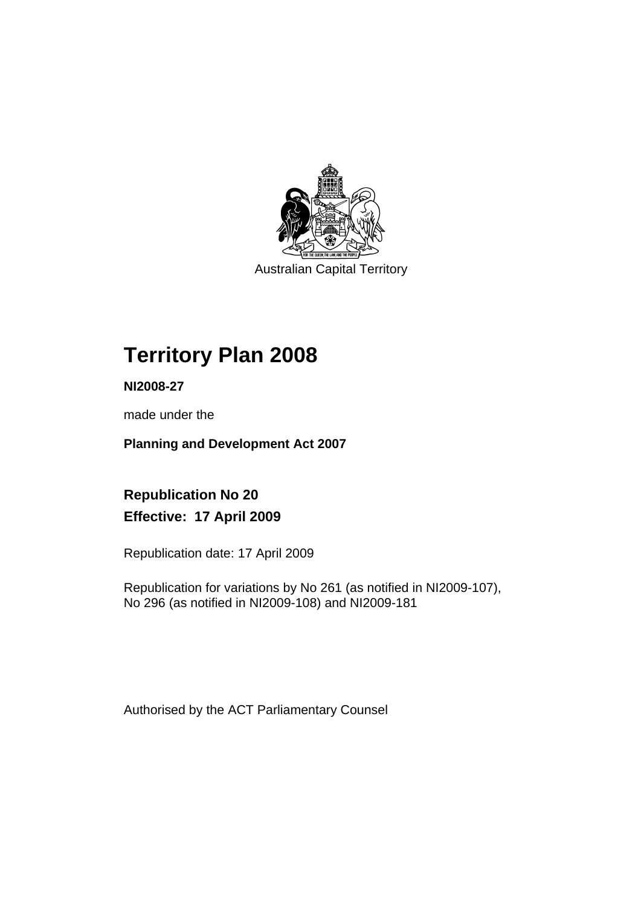

Australian Capital Territory

# **Territory Plan 2008**

**NI2008-27** 

made under the

**Planning and Development Act 2007** 

**Republication No 20 Effective: 17 April 2009** 

Republication date: 17 April 2009

Republication for variations by No 261 (as notified in NI2009-107), No 296 (as notified in NI2009-108) and NI2009-181

Authorised by the ACT Parliamentary Counsel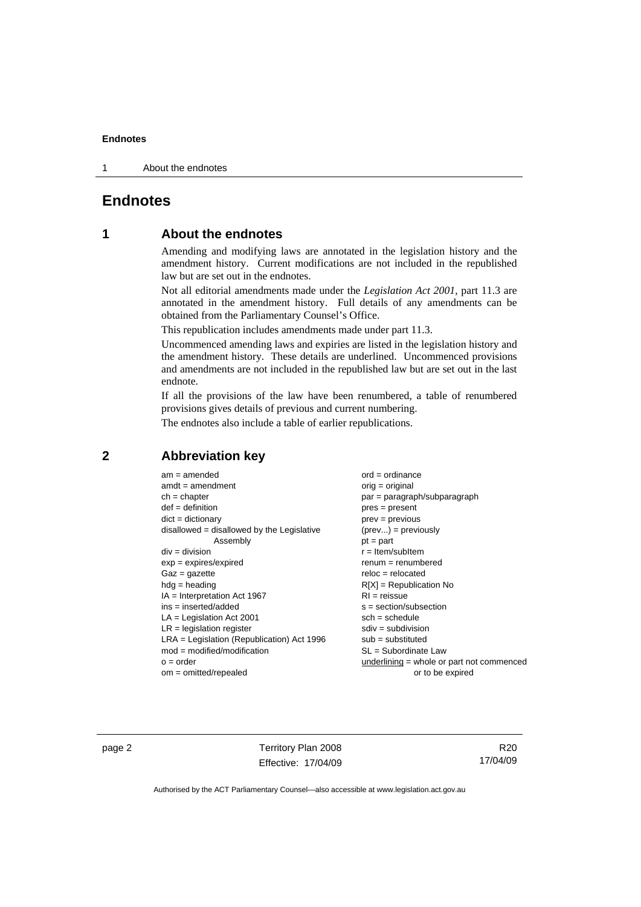1 About the endnotes

# **Endnotes**

# **1 About the endnotes**

Amending and modifying laws are annotated in the legislation history and the amendment history. Current modifications are not included in the republished law but are set out in the endnotes.

Not all editorial amendments made under the *Legislation Act 2001*, part 11.3 are annotated in the amendment history. Full details of any amendments can be obtained from the Parliamentary Counsel's Office.

This republication includes amendments made under part 11.3.

Uncommenced amending laws and expiries are listed in the legislation history and the amendment history. These details are underlined. Uncommenced provisions and amendments are not included in the republished law but are set out in the last endnote.

If all the provisions of the law have been renumbered, a table of renumbered provisions gives details of previous and current numbering.

The endnotes also include a table of earlier republications.

# **2 Abbreviation key**

| $am = amended$                               | $ord = ordinance$                   |
|----------------------------------------------|-------------------------------------|
| $amdt = amendment$                           | $orig = original$                   |
| $ch = chapter$                               | $par = paragraph/subpare$           |
| $def = definition$                           | $pres = present$                    |
| $dict = dictionary$                          | $prev = previous$                   |
| disallowed = disallowed by the Legislative   | $(\text{prev}) = \text{previously}$ |
| Assembly                                     | $pt = part$                         |
| $div = division$                             | $r =$ Item/subItem                  |
| $exp = expires/expired$                      | $renum = renumbered$                |
| $Gaz = gazette$                              | $reloc = relocated$                 |
| $hdg =$ heading                              | $R[X]$ = Republication No           |
| $IA = Interpretation Act 1967$               | $RI = reissue$                      |
| ins = inserted/added                         | $s = section/subsection$            |
| $LA =$ Legislation Act 2001                  | $sch = schedule$                    |
| $LR =$ legislation register                  | $sdiv = subdivision$                |
| $LRA =$ Legislation (Republication) Act 1996 | $sub =$ substituted                 |
| $mod = modified/modification$                | $SL = Subordinate$ Law              |
| $o = order$                                  | underlining $=$ whole or pa         |
| $om = omitted/repealed$                      | or to be ex                         |

bparagraph or part not commenced be expired

page 2 Territory Plan 2008 Effective: 17/04/09

R20 17/04/09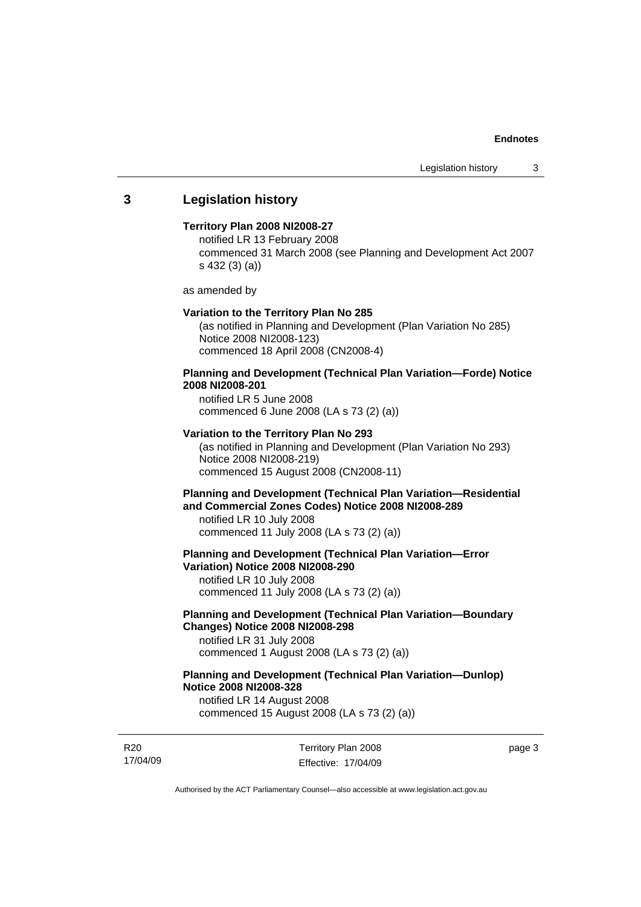# **3 Legislation history**

### **Territory Plan 2008 NI2008-27**

notified LR 13 February 2008 commenced 31 March 2008 (see Planning and Development Act 2007 s 432 (3) (a))

as amended by

#### **Variation to the Territory Plan No 285**

(as notified in Planning and Development (Plan Variation No 285) Notice 2008 NI2008-123) commenced 18 April 2008 (CN2008-4)

# **Planning and Development (Technical Plan Variation—Forde) Notice 2008 NI2008-201**

notified LR 5 June 2008 commenced 6 June 2008 (LA s 73 (2) (a))

#### **Variation to the Territory Plan No 293**

(as notified in Planning and Development (Plan Variation No 293) Notice 2008 NI2008-219) commenced 15 August 2008 (CN2008-11)

# **Planning and Development (Technical Plan Variation—Residential and Commercial Zones Codes) Notice 2008 NI2008-289**

notified LR 10 July 2008 commenced 11 July 2008 (LA s 73 (2) (a))

#### **Planning and Development (Technical Plan Variation—Error Variation) Notice 2008 NI2008-290**

notified LR 10 July 2008 commenced 11 July 2008 (LA s 73 (2) (a))

# **Planning and Development (Technical Plan Variation—Boundary Changes) Notice 2008 NI2008-298**

notified LR 31 July 2008 commenced 1 August 2008 (LA s 73 (2) (a))

# **Planning and Development (Technical Plan Variation—Dunlop) Notice 2008 NI2008-328**

notified LR 14 August 2008 commenced 15 August 2008 (LA s 73 (2) (a))

R20 17/04/09 Territory Plan 2008 Effective: 17/04/09 page 3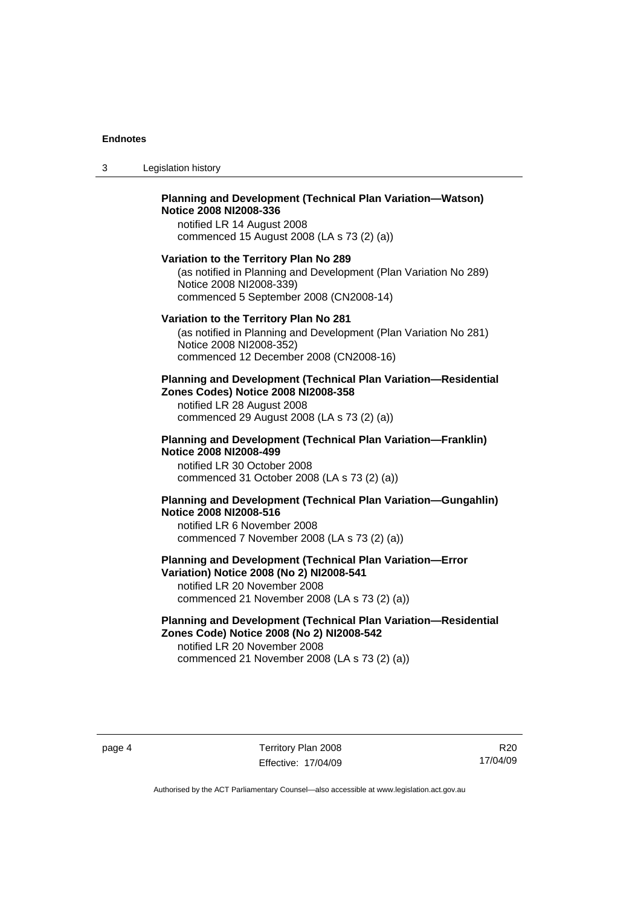3 Legislation history

### **Planning and Development (Technical Plan Variation—Watson) Notice 2008 NI2008-336**  notified LR 14 August 2008

commenced 15 August 2008 (LA s 73 (2) (a))

#### **Variation to the Territory Plan No 289**

(as notified in Planning and Development (Plan Variation No 289) Notice 2008 NI2008-339) commenced 5 September 2008 (CN2008-14)

#### **Variation to the Territory Plan No 281**

(as notified in Planning and Development (Plan Variation No 281) Notice 2008 NI2008-352) commenced 12 December 2008 (CN2008-16)

#### **Planning and Development (Technical Plan Variation—Residential Zones Codes) Notice 2008 NI2008-358**

notified LR 28 August 2008 commenced 29 August 2008 (LA s 73 (2) (a))

#### **Planning and Development (Technical Plan Variation—Franklin) Notice 2008 NI2008-499**

notified LR 30 October 2008 commenced 31 October 2008 (LA s 73 (2) (a))

# **Planning and Development (Technical Plan Variation—Gungahlin) Notice 2008 NI2008-516**

notified LR 6 November 2008 commenced 7 November 2008 (LA s 73 (2) (a))

# **Planning and Development (Technical Plan Variation—Error Variation) Notice 2008 (No 2) NI2008-541**

notified LR 20 November 2008 commenced 21 November 2008 (LA s 73 (2) (a))

# **Planning and Development (Technical Plan Variation—Residential Zones Code) Notice 2008 (No 2) NI2008-542**

notified LR 20 November 2008 commenced 21 November 2008 (LA s 73 (2) (a))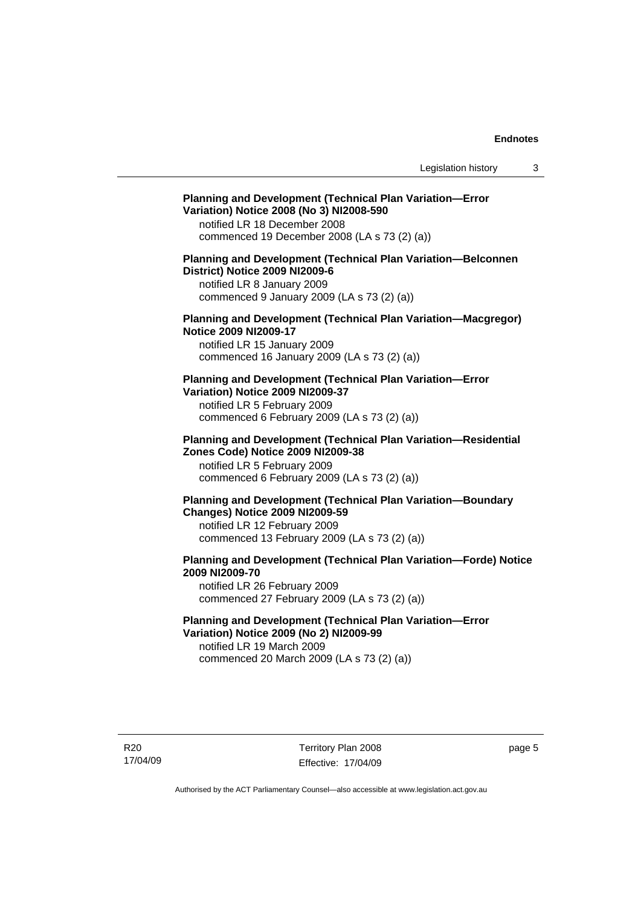#### **Planning and Development (Technical Plan Variation—Error Variation) Notice 2008 (No 3) NI2008-590**  notified LR 18 December 2008

commenced 19 December 2008 (LA s 73 (2) (a))

# **Planning and Development (Technical Plan Variation—Belconnen District) Notice 2009 NI2009-6**

notified LR 8 January 2009 commenced 9 January 2009 (LA s 73 (2) (a))

## **Planning and Development (Technical Plan Variation—Macgregor) Notice 2009 NI2009-17**

notified LR 15 January 2009 commenced 16 January 2009 (LA s 73 (2) (a))

# **Planning and Development (Technical Plan Variation—Error Variation) Notice 2009 NI2009-37**

notified LR 5 February 2009 commenced 6 February 2009 (LA s 73 (2) (a))

#### **Planning and Development (Technical Plan Variation—Residential Zones Code) Notice 2009 NI2009-38**

notified LR 5 February 2009 commenced 6 February 2009 (LA s 73 (2) (a))

# **Planning and Development (Technical Plan Variation—Boundary Changes) Notice 2009 NI2009-59**

notified LR 12 February 2009 commenced 13 February 2009 (LA s 73 (2) (a))

# **Planning and Development (Technical Plan Variation—Forde) Notice 2009 NI2009-70**

notified LR 26 February 2009 commenced 27 February 2009 (LA s 73 (2) (a))

# **Planning and Development (Technical Plan Variation—Error Variation) Notice 2009 (No 2) NI2009-99**

notified LR 19 March 2009 commenced 20 March 2009 (LA s 73 (2) (a))

R20 17/04/09 Territory Plan 2008 Effective: 17/04/09 page 5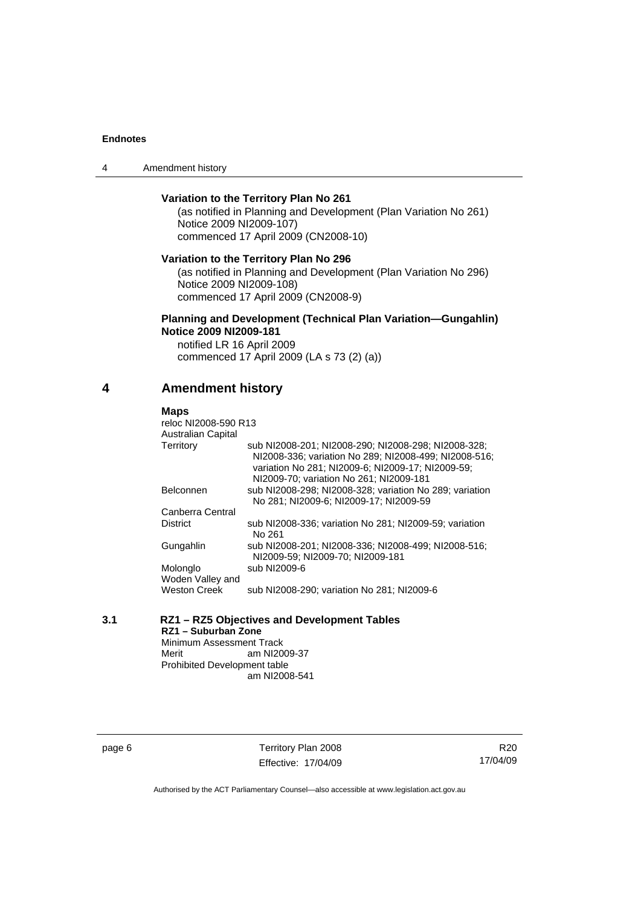4 Amendment history

# **Variation to the Territory Plan No 261**

(as notified in Planning and Development (Plan Variation No 261) Notice 2009 NI2009-107) commenced 17 April 2009 (CN2008-10)

**Variation to the Territory Plan No 296** 

(as notified in Planning and Development (Plan Variation No 296) Notice 2009 NI2009-108) commenced 17 April 2009 (CN2008-9)

#### **Planning and Development (Technical Plan Variation—Gungahlin) Notice 2009 NI2009-181**

notified LR 16 April 2009 commenced 17 April 2009 (LA s 73 (2) (a))

# **4 Amendment history**

#### **Maps**

| reloc NI2008-590 R13      |                                                                                                                                                                                                              |
|---------------------------|--------------------------------------------------------------------------------------------------------------------------------------------------------------------------------------------------------------|
| <b>Australian Capital</b> |                                                                                                                                                                                                              |
| Territory                 | sub NI2008-201: NI2008-290: NI2008-298: NI2008-328:<br>NI2008-336: variation No 289: NI2008-499: NI2008-516:<br>variation No 281; NI2009-6; NI2009-17; NI2009-59;<br>NI2009-70; variation No 261; NI2009-181 |
| <b>Belconnen</b>          | sub NI2008-298; NI2008-328; variation No 289; variation<br>No 281: NI2009-6: NI2009-17: NI2009-59                                                                                                            |
| Canberra Central          |                                                                                                                                                                                                              |
| <b>District</b>           | sub NI2008-336; variation No 281; NI2009-59; variation<br>No 261                                                                                                                                             |
| Gungahlin                 | sub NI2008-201; NI2008-336; NI2008-499; NI2008-516;<br>NI2009-59: NI2009-70: NI2009-181                                                                                                                      |
| Molonglo                  | sub NI2009-6                                                                                                                                                                                                 |
| Woden Valley and          |                                                                                                                                                                                                              |
| <b>Weston Creek</b>       | sub NI2008-290; variation No 281; NI2009-6                                                                                                                                                                   |

| 3.1 |                              | RZ1 - RZ5 Objectives and Development Tables |  |
|-----|------------------------------|---------------------------------------------|--|
|     | RZ1 – Suburban Zone          |                                             |  |
|     | Minimum Assessment Track     |                                             |  |
|     | Merit                        | am NI2009-37                                |  |
|     | Prohibited Development table |                                             |  |

am NI2008-541

page 6 Territory Plan 2008 Effective: 17/04/09

R20 17/04/09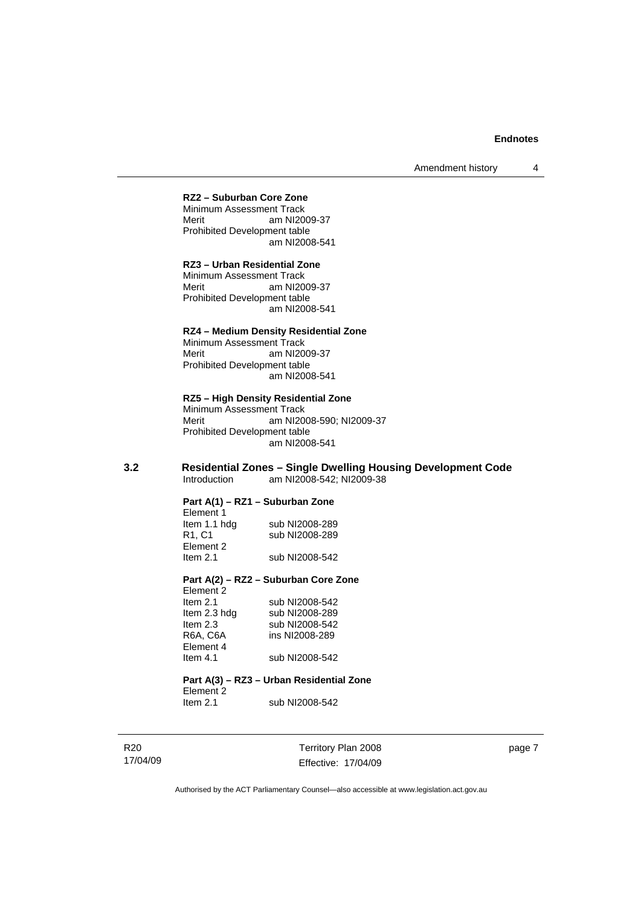#### **RZ2 – Suburban Core Zone**

Minimum Assessment Track Merit am NI2009-37 Prohibited Development table am NI2008-541

# **RZ3 – Urban Residential Zone**

Minimum Assessment Track Merit am NI2009-37 Prohibited Development table am NI2008-541

#### **RZ4 – Medium Density Residential Zone**

Minimum Assessment Track Merit am NI2009-37 Prohibited Development table am NI2008-541

#### **RZ5 – High Density Residential Zone**

Minimum Assessment Track<br>Merit am NI20 am NI2008-590; NI2009-37 Prohibited Development table am NI2008-541

#### **3.2 Residential Zones – Single Dwelling Housing Development Code**  am NI2008-542; NI2009-38

#### **Part A(1) – RZ1 – Suburban Zone**

| Element 1                      |                |
|--------------------------------|----------------|
| Item 1.1 hdg                   | sub NI2008-289 |
| R <sub>1</sub> .C <sub>1</sub> | sub NI2008-289 |
| Element 2                      |                |
| Item $2.1$                     | sub NI2008-542 |

#### **Part A(2) – RZ2 – Suburban Core Zone**

| Element 2    |                |
|--------------|----------------|
| Item $2.1$   | sub NI2008-542 |
| Item 2.3 hdg | sub NI2008-289 |
| Item $2.3$   | sub NI2008-542 |
| R6A. C6A     | ins NI2008-289 |
| Element 4    |                |
| Item 4.1     | sub NI2008-542 |
|              |                |

#### **Part A(3) – RZ3 – Urban Residential Zone**  Element 2<br>Item 2.1 sub NI2008-542

R20 17/04/09 Territory Plan 2008 Effective: 17/04/09

page 7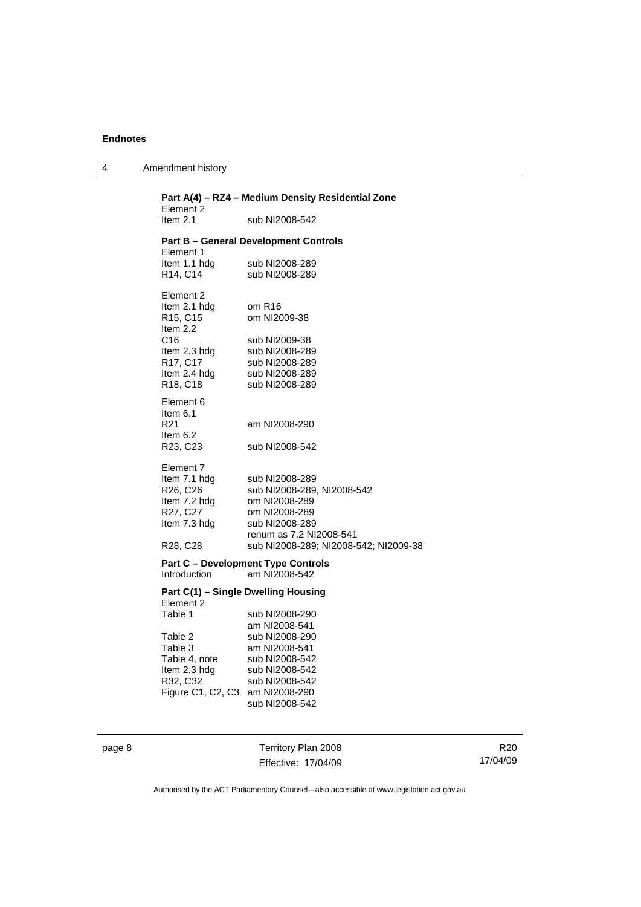4 Amendment history

| Part A(4) - RZ4 - Medium Density Residential Zone<br>Element 2 |                                                                  |  |  |
|----------------------------------------------------------------|------------------------------------------------------------------|--|--|
| Item $2.1$                                                     | sub NI2008-542                                                   |  |  |
| Element 1                                                      | <b>Part B - General Development Controls</b>                     |  |  |
| Item 1.1 hdg                                                   | sub NI2008-289                                                   |  |  |
| R14, C14                                                       | sub NI2008-289                                                   |  |  |
| Element 2<br>Item 2.1 hdg<br>R15, C15                          | om R <sub>16</sub><br>om NI2009-38                               |  |  |
| Item 2.2                                                       |                                                                  |  |  |
| C <sub>16</sub>                                                | sub NI2009-38                                                    |  |  |
| Item 2.3 hdg<br>R17, C17                                       | sub NI2008-289<br>sub NI2008-289                                 |  |  |
| Item 2.4 hdg                                                   | sub NI2008-289                                                   |  |  |
| R18, C18                                                       | sub NI2008-289                                                   |  |  |
| Element 6<br>Item $6.1$                                        |                                                                  |  |  |
| R21                                                            | am NI2008-290                                                    |  |  |
| Item $6.2$<br>R23, C23                                         | sub NI2008-542                                                   |  |  |
| Element 7                                                      |                                                                  |  |  |
| Item 7.1 hdg                                                   | sub NI2008-289                                                   |  |  |
| R26, C26                                                       | sub NI2008-289, NI2008-542                                       |  |  |
| Item 7.2 hdg                                                   | om NI2008-289                                                    |  |  |
| R27, C27                                                       | om NI2008-289                                                    |  |  |
| Item 7.3 hdg                                                   | sub NI2008-289                                                   |  |  |
|                                                                | renum as 7.2 NI2008-541<br>sub NI2008-289; NI2008-542; NI2009-38 |  |  |
| R28, C28                                                       |                                                                  |  |  |
|                                                                | <b>Part C - Development Type Controls</b>                        |  |  |
| Introduction                                                   | am NI2008-542                                                    |  |  |
| Element 2                                                      | Part C(1) - Single Dwelling Housing                              |  |  |
| Table 1                                                        | sub NI2008-290                                                   |  |  |
|                                                                | am NI2008-541                                                    |  |  |
| Table 2                                                        | sub NI2008-290                                                   |  |  |
| Table 3                                                        | am NI2008-541                                                    |  |  |
| Table 4, note                                                  | sub NI2008-542                                                   |  |  |
| Item 2.3 hdg                                                   | sub NI2008-542                                                   |  |  |
| R32, C32<br>Figure C1, C2, C3                                  | sub NI2008-542<br>am NI2008-290                                  |  |  |
|                                                                | sub NI2008-542                                                   |  |  |
|                                                                |                                                                  |  |  |

page 8 Territory Plan 2008 Effective: 17/04/09

R20 17/04/09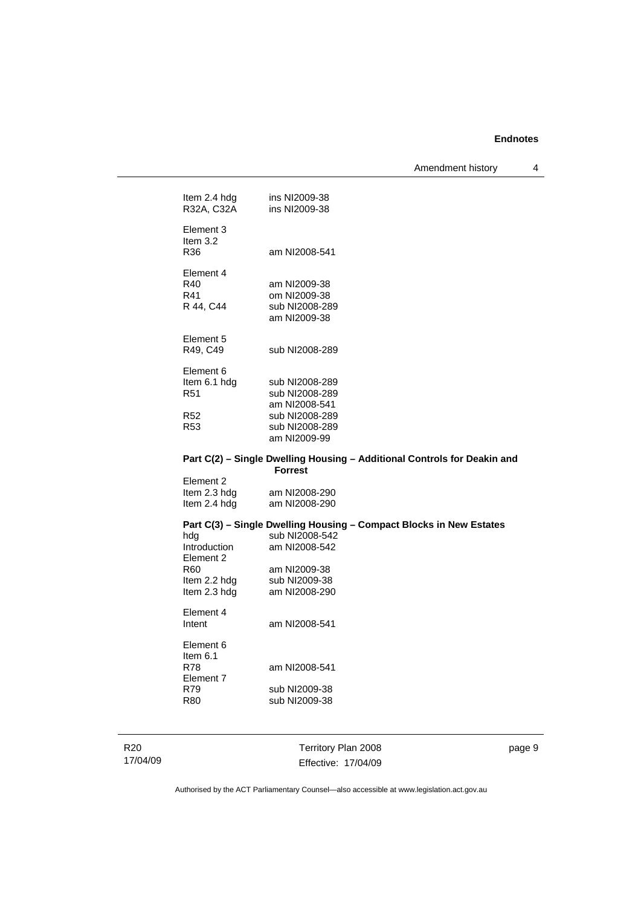Amendment history 4

| Item 2.4 hdg<br>R32A, C32A                                              | ins NI2009-38<br>ins NI2009-38                                                                                                                           |
|-------------------------------------------------------------------------|----------------------------------------------------------------------------------------------------------------------------------------------------------|
| Element 3<br>Item $3.2$<br>R36                                          | am NI2008-541                                                                                                                                            |
| Element 4<br>R40<br>R41<br>R 44, C44                                    | am NI2009-38<br>om NI2009-38<br>sub NI2008-289<br>am NI2009-38                                                                                           |
| Element 5<br>R49, C49                                                   | sub NI2008-289                                                                                                                                           |
| Element 6<br>Item 6.1 hdg<br>R <sub>51</sub>                            | sub NI2008-289<br>sub NI2008-289<br>am NI2008-541                                                                                                        |
| R <sub>52</sub><br>R <sub>53</sub>                                      | sub NI2008-289<br>sub NI2008-289<br>am NI2009-99                                                                                                         |
|                                                                         | Part C(2) - Single Dwelling Housing - Additional Controls for Deakin and<br><b>Forrest</b>                                                               |
| Element 2<br>Item 2.3 hdg<br>Item 2.4 hdg                               | am NI2008-290<br>am NI2008-290                                                                                                                           |
| hdg<br>Introduction<br>Element 2<br>R60<br>Item 2.2 hdg<br>Item 2.3 hdg | Part C(3) - Single Dwelling Housing - Compact Blocks in New Estates<br>sub NI2008-542<br>am NI2008-542<br>am NI2009-38<br>sub NI2009-38<br>am NI2008-290 |
| Element 4<br>Intent                                                     | am NI2008-541                                                                                                                                            |
| Element 6<br>Item $6.1$<br><b>R78</b><br>Element 7<br>R79               | am NI2008-541<br>sub NI2009-38                                                                                                                           |
| R80                                                                     | sub NI2009-38                                                                                                                                            |

R20

17/04/09

Territory Plan 2008 Effective: 17/04/09 page 9

Authorised by the ACT Parliamentary Counsel—also accessible at www.legislation.act.gov.au

sub NI2009-38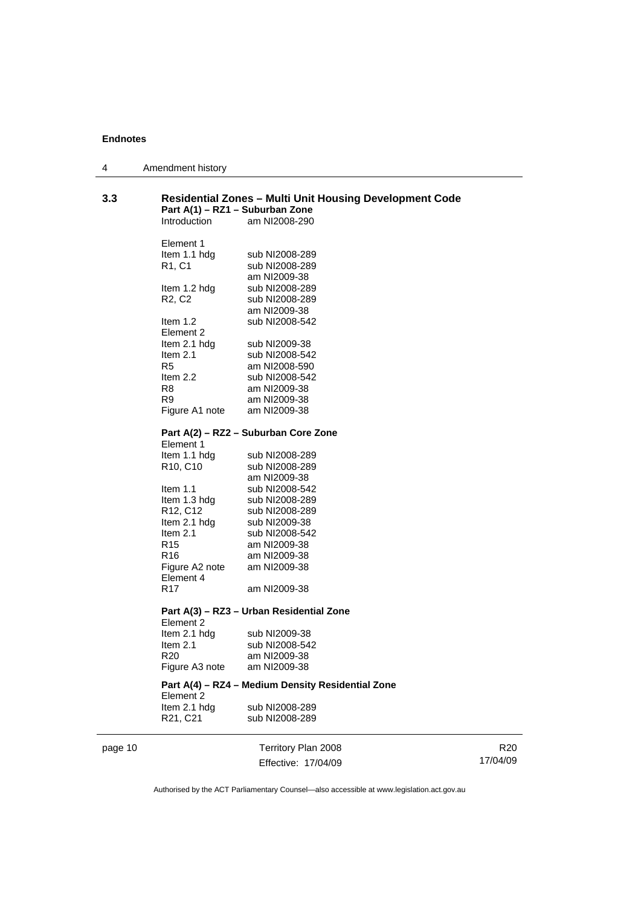| 4 | Amendment history |
|---|-------------------|
|---|-------------------|

| 3.3     | <b>Residential Zones - Multi Unit Housing Development Code</b><br>Part A(1) - RZ1 - Suburban Zone<br>Introduction<br>am NI2008-290 |                                                   |  |
|---------|------------------------------------------------------------------------------------------------------------------------------------|---------------------------------------------------|--|
|         |                                                                                                                                    |                                                   |  |
|         | Element 1                                                                                                                          |                                                   |  |
|         | Item 1.1 hdg                                                                                                                       | sub NI2008-289                                    |  |
|         | R <sub>1</sub> , C <sub>1</sub>                                                                                                    | sub NI2008-289                                    |  |
|         |                                                                                                                                    | am NI2009-38                                      |  |
|         | Item 1.2 hdg                                                                                                                       | sub NI2008-289                                    |  |
|         | R <sub>2</sub> , C <sub>2</sub>                                                                                                    | sub NI2008-289<br>am NI2009-38                    |  |
|         | Item $1.2$                                                                                                                         | sub NI2008-542                                    |  |
|         | Element 2                                                                                                                          |                                                   |  |
|         | Item 2.1 hdg                                                                                                                       | sub NI2009-38                                     |  |
|         | Item $2.1$                                                                                                                         | sub NI2008-542                                    |  |
|         | R <sub>5</sub>                                                                                                                     | am NI2008-590                                     |  |
|         | ltem 2.2                                                                                                                           | sub NI2008-542                                    |  |
|         | R8                                                                                                                                 | am NI2009-38                                      |  |
|         | R9                                                                                                                                 | am NI2009-38                                      |  |
|         | Figure A1 note                                                                                                                     | am NI2009-38                                      |  |
|         |                                                                                                                                    | Part A(2) - RZ2 - Suburban Core Zone              |  |
|         | Element 1                                                                                                                          |                                                   |  |
|         | Item 1.1 hdg                                                                                                                       | sub NI2008-289                                    |  |
|         | R <sub>10</sub> , C <sub>10</sub>                                                                                                  | sub NI2008-289                                    |  |
|         |                                                                                                                                    | am NI2009-38                                      |  |
|         | Item $1.1$                                                                                                                         | sub NI2008-542                                    |  |
|         | Item 1.3 hdg                                                                                                                       | sub NI2008-289                                    |  |
|         | R <sub>12</sub> , C <sub>12</sub>                                                                                                  | sub NI2008-289                                    |  |
|         | Item 2.1 hdg                                                                                                                       | sub NI2009-38                                     |  |
|         | Item $2.1$                                                                                                                         | sub NI2008-542                                    |  |
|         | R <sub>15</sub>                                                                                                                    | am NI2009-38                                      |  |
|         | R16                                                                                                                                | am NI2009-38                                      |  |
|         | Figure A2 note                                                                                                                     | am NI2009-38                                      |  |
|         | Element 4<br>R17                                                                                                                   | am NI2009-38                                      |  |
|         |                                                                                                                                    |                                                   |  |
|         | Element 2                                                                                                                          | Part A(3) - RZ3 - Urban Residential Zone          |  |
|         | Item 2.1 hdg                                                                                                                       | sub NI2009-38                                     |  |
|         | Item 2.1                                                                                                                           | sub NI2008-542                                    |  |
|         | R20                                                                                                                                | am NI2009-38                                      |  |
|         | Figure A3 note                                                                                                                     | am NI2009-38                                      |  |
|         | Element 2                                                                                                                          | Part A(4) - RZ4 - Medium Density Residential Zone |  |
|         | Item 2.1 hdg                                                                                                                       | sub NI2008-289                                    |  |
|         | R21, C21                                                                                                                           | sub NI2008-289                                    |  |
| page 10 |                                                                                                                                    | Territory Plan 2008                               |  |
|         |                                                                                                                                    | Effective: 17/04/09                               |  |
|         |                                                                                                                                    |                                                   |  |

R20 17/04/09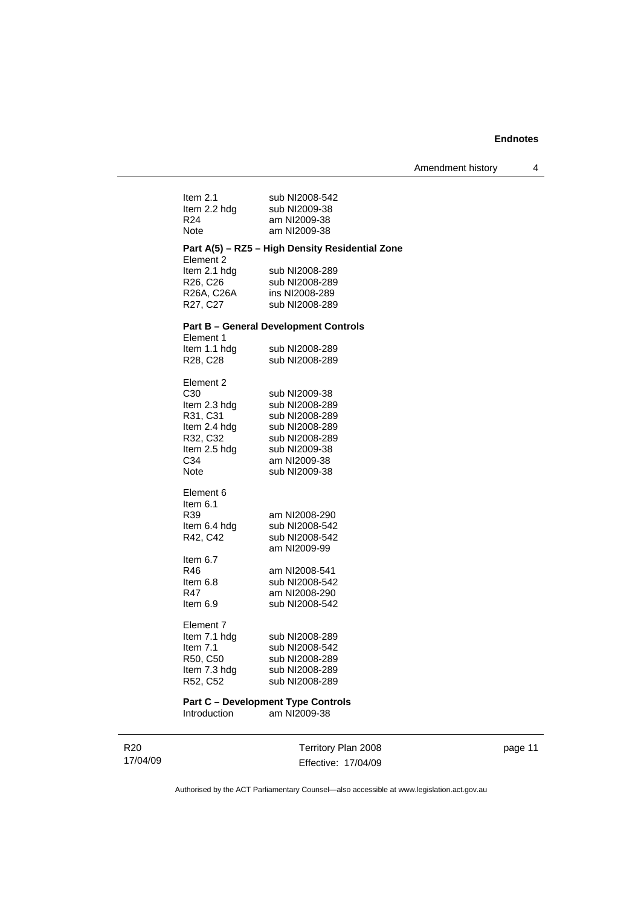| Item $2.1$               | sub NI2008-542                                  |
|--------------------------|-------------------------------------------------|
| Item 2.2 hdg             | sub NI2009-38                                   |
| R24                      | am NI2009-38                                    |
| Note                     | am NI2009-38                                    |
|                          | Part A(5) - RZ5 - High Density Residential Zone |
| Element 2                |                                                 |
| Item 2.1 hdg<br>R26, C26 | sub NI2008-289<br>sub NI2008-289                |
| R26A, C26A               | ins NI2008-289                                  |
| R27, C27                 | sub NI2008-289                                  |
|                          |                                                 |
|                          | <b>Part B - General Development Controls</b>    |
| Element 1                |                                                 |
| Item 1.1 hdg             | sub NI2008-289                                  |
| R28, C28                 | sub NI2008-289                                  |
|                          |                                                 |
| Element 2<br>C30         | sub NI2009-38                                   |
| Item 2.3 hdg             | sub NI2008-289                                  |
| R31, C31                 | sub NI2008-289                                  |
| Item 2.4 hdg             | sub NI2008-289                                  |
| R32, C32                 | sub NI2008-289                                  |
| Item 2.5 hdg             | sub NI2009-38                                   |
| C34                      | am NI2009-38                                    |
| Note                     | sub NI2009-38                                   |
|                          |                                                 |
| Element 6                |                                                 |
| Item 6.1                 |                                                 |
| R39                      | am NI2008-290                                   |
| Item 6.4 hdg             | sub NI2008-542                                  |
| R42, C42                 | sub NI2008-542                                  |
|                          | am NI2009-99                                    |
| Item 6.7                 |                                                 |
| R46                      | am NI2008-541                                   |
| Item 6.8                 | sub NI2008-542                                  |
| R47                      | am NI2008-290                                   |
| Item $6.9$               | sub NI2008-542                                  |
| Element 7                |                                                 |
| Item 7.1 hdg             | sub NI2008-289                                  |
| Item $7.1$               | sub NI2008-542                                  |
| R50, C50                 | sub NI2008-289                                  |
| Item 7.3 hdg             | sub NI2008-289                                  |
| R52, C52                 | sub NI2008-289                                  |
|                          |                                                 |
|                          | <b>Part C - Development Type Controls</b>       |

Introduction am NI2009-38

| R20      |
|----------|
| 17/04/09 |

Territory Plan 2008 Effective: 17/04/09 page 11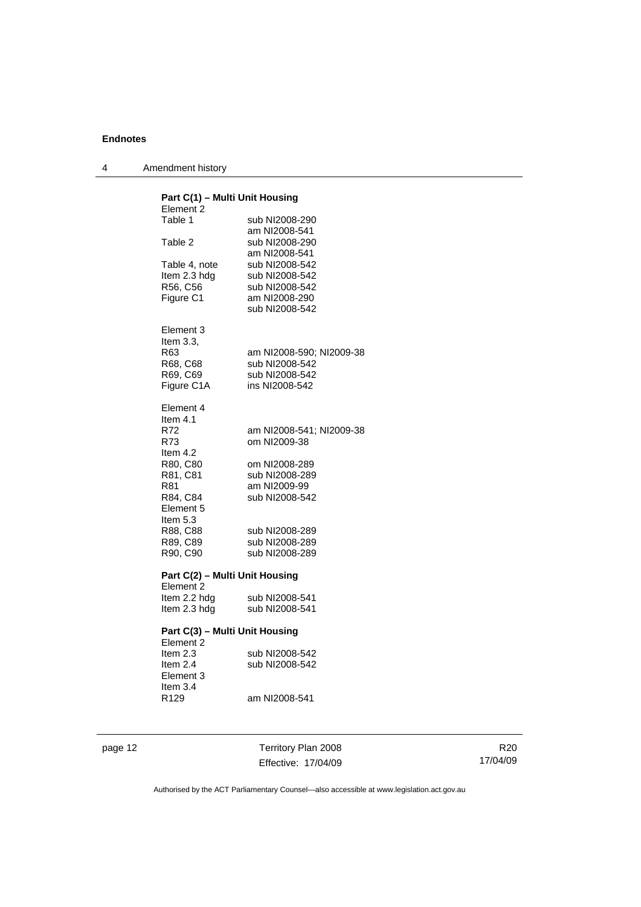| 4 | Amendment history |
|---|-------------------|
|---|-------------------|

### **Part C(1) – Multi Unit Housing**  Element 2<br>Table 1 sub NI2008-290 am NI2008-541<br>Table 2 sub NI2008-290 sub NI2008-290 am NI2008-541<br>Table 4, note sub NI2008-542 Table 4, note sub NI2008-542<br>Item 2.3 hdg sub NI2008-542 sub NI2008-542 R56, C56 sub NI2008-542 Figure C1 am NI2008-290 sub NI2008-542 Element 3 Item 3.3, R63 am NI2008-590; NI2009-38 R68, C68 sub NI2008-542 R69, C69 sub NI2008-542 Figure C1A ins NI2008-542 Element 4 Item  $4.1$ <br>R72 R72 am NI2008-541; NI2009-38 om NI2009-38 Item 4.2<br>R80, C80 R80, C80 om NI2008-289 sub NI2008-289 R81 am NI2009-99 R84, C84 sub NI2008-542 Element 5 Item 5.3 R88, C88 sub NI2008-289<br>R89, C89 sub NI2008-289 sub NI2008-289 R90, C90 sub NI2008-289 **Part C(2) – Multi Unit Housing**  Element 2 Item 2.2 hdg sub NI2008-541<br>Item 2.3 hdg sub NI2008-541 sub NI2008-541 **Part C(3) – Multi Unit Housing**  Element 2<br>Item 2.3 Item 2.3 sub NI2008-542<br>Item 2.4 sub NI2008-542 sub NI2008-542 Element 3 Item 3.4 R129 am NI2008-541

page 12 Territory Plan 2008 Effective: 17/04/09

R20 17/04/09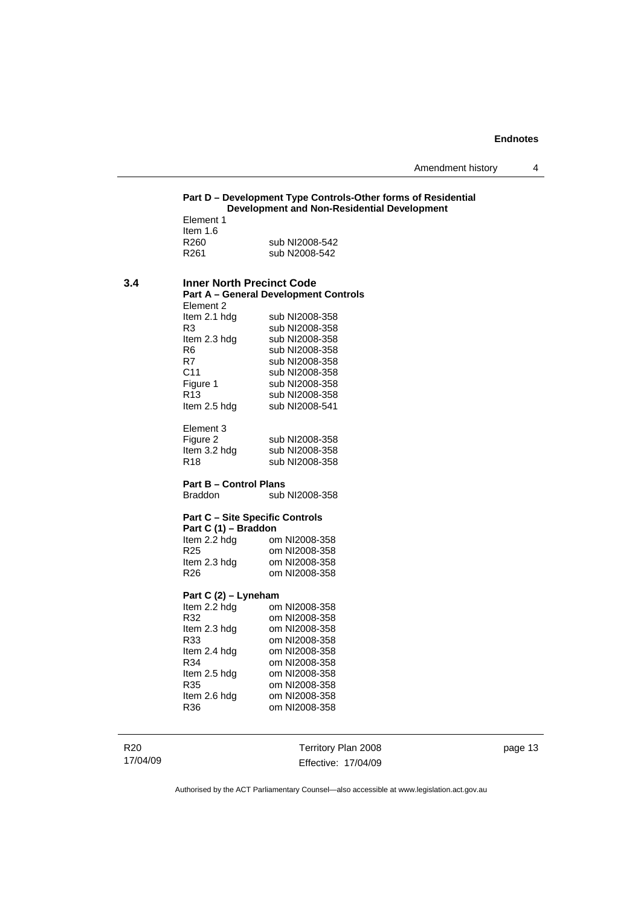# **Part D – Development Type Controls-Other forms of Residential Development and Non-Residential Development**  Element 1 Item 1.6<br>R260 sub NI2008-542 R261 sub N2008-542 **3.4 Inner North Precinct Code Part A – General Development Controls**  Element 2 Item 2.1 hdg sub NI2008-358<br>R3 sub NI2008-358 R3 sub NI2008-358<br>Item 2.3 hdg sub NI2008-358 Item 2.3 hdg sub NI2008-358<br>R6 sub NI2008-358 R6 sub NI2008-358<br>R7 sub NI2008-358

R7 sub NI2008-358<br>C11 sub NI2008-358 sub NI2008-358 Figure 1 sub NI2008-358<br>R13 sub NI2008-358 R13 sub NI2008-358<br>Item 2.5 hdg sub NI2008-541 sub NI2008-541

Element 3 Figure 2 sub NI2008-358 Item 3.2 hdg sub NI2008-358 R18 sub NI2008-358

#### **Part B – Control Plans**

Braddon sub NI2008-358

#### **Part C – Site Specific Controls**

| Part C (1) – Braddon |               |  |
|----------------------|---------------|--|
| Item 2.2 hdg         | om NI2008-358 |  |
| R <sub>25</sub>      | om NI2008-358 |  |
| Item 2.3 hdg         | om NI2008-358 |  |
| R26                  | om NI2008-358 |  |

#### **Part C (2) – Lyneham**

| om NI2008-358 |
|---------------|
| om NI2008-358 |
| om NI2008-358 |
| om NI2008-358 |
| om NI2008-358 |
| om NI2008-358 |
| om NI2008-358 |
| om NI2008-358 |
| om NI2008-358 |
| om NI2008-358 |
|               |

R20 17/04/09 Territory Plan 2008 Effective: 17/04/09 page 13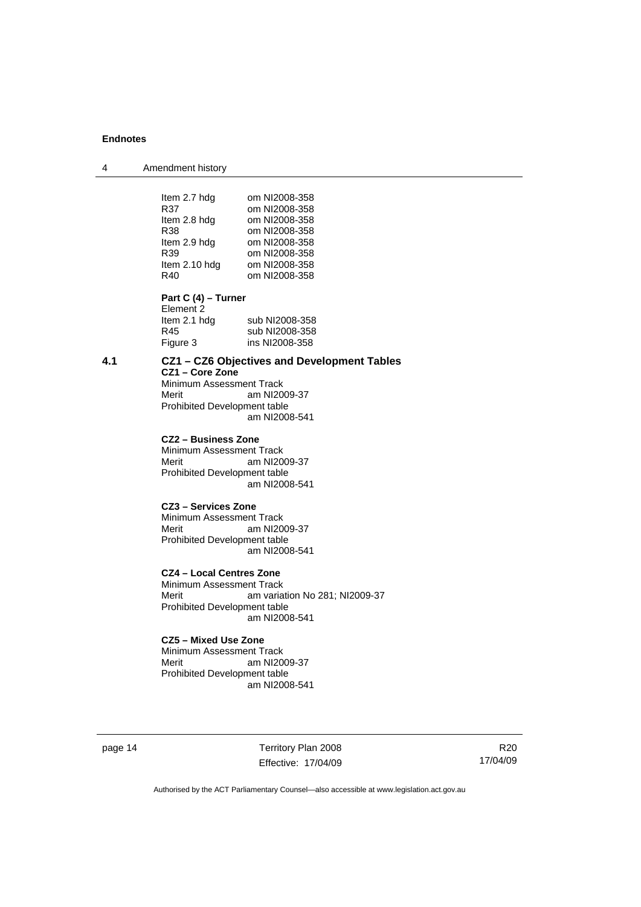4 Amendment history

| Item 2.7 hdg  | om NI2008-358 |
|---------------|---------------|
| R37           | om NI2008-358 |
| Item 2.8 hdg  | om NI2008-358 |
| R38           | om NI2008-358 |
| Item 2.9 hdg  | om NI2008-358 |
| R39           | om NI2008-358 |
| Item 2.10 hdg | om NI2008-358 |
| R40           | om NI2008-358 |
|               |               |

**Part C (4) – Turner** 

| sub NI2008-358 |
|----------------|
| sub NI2008-358 |
| ins NI2008-358 |
|                |

#### **4.1 CZ1 – CZ6 Objectives and Development Tables**

**CZ1 – Core Zone**  Minimum Assessment Track<br>Merit am NI20 am NI2009-37 Prohibited Development table am NI2008-541

**CZ2 – Business Zone** 

Minimum Assessment Track Merit am NI2009-37 Prohibited Development table am NI2008-541

#### **CZ3 – Services Zone**

Minimum Assessment Track Merit am NI2009-37 Prohibited Development table am NI2008-541

# **CZ4 – Local Centres Zone**

Minimum Assessment Track<br>Merit am varia am variation No 281; NI2009-37 Prohibited Development table am NI2008-541

#### **CZ5 – Mixed Use Zone**

Minimum Assessment Track Merit am NI2009-37 Prohibited Development table am NI2008-541

page 14 Territory Plan 2008 Effective: 17/04/09

R20 17/04/09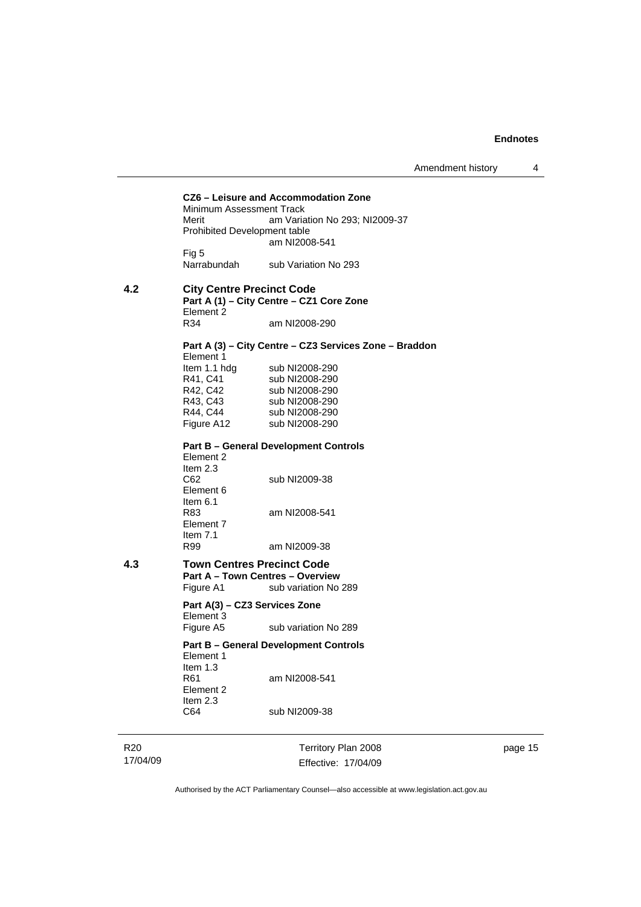Amendment history 4

**CZ6 – Leisure and Accommodation Zone** Minimum Assessment Track Merit **Am Variation No 293; NI2009-37** Prohibited Development table am NI2008-541 Fig 5<br>Narrabundah sub Variation No 293 **4.2 City Centre Precinct Code Part A (1) – City Centre – CZ1 Core Zone**  Element 2<br>R34 am NI2008-290 **Part A (3) – City Centre – CZ3 Services Zone – Braddon**  Element 1 Item 1.1 hdg sub NI2008-290<br>R41, C41 sub NI2008-290 sub NI2008-290 R42, C42 sub NI2008-290 R43, C43 sub NI2008-290<br>R44, C44 sub NI2008-290 R44, C44 sub NI2008-290<br>Figure A12 sub NI2008-290 sub NI2008-290 **Part B – General Development Controls**  Element 2 Item 2.3<br>C62 sub NI2009-38 Element 6 Item  $6.1$ <br>R83 am NI2008-541 Element 7 Item 7.1<br>R99 am NI2009-38 **4.3 Town Centres Precinct Code Part A – Town Centres – Overview Figure A1** sub variation No sub variation No 289 **Part A(3) – CZ3 Services Zone**  Element 3 Figure A5 sub variation No 289 **Part B – General Development Controls**  Element 1 Item 1.3<br>R61 am NI2008-541 Element 2 Item 2.3<br>C64 sub NI2009-38

R20 17/04/09 Territory Plan 2008 Effective: 17/04/09 page 15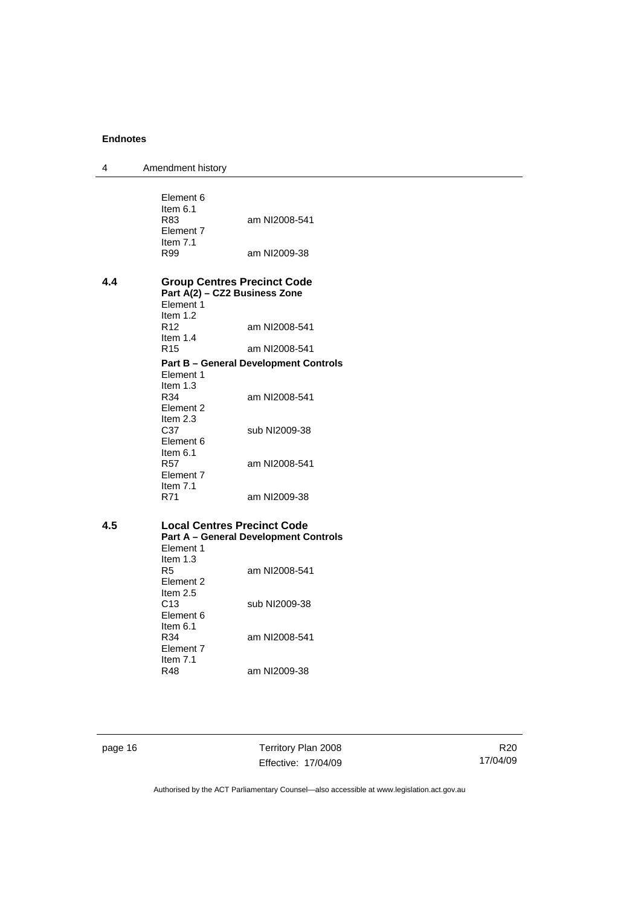| 4   | Amendment history                                                                |                                              |
|-----|----------------------------------------------------------------------------------|----------------------------------------------|
|     | Element 6<br>Item $6.1$<br>R83                                                   | am NI2008-541                                |
|     | Element 7<br>Item $7.1$<br>R99                                                   | am NI2009-38                                 |
| 4.4 | <b>Group Centres Precinct Code</b><br>Part A(2) - CZ2 Business Zone<br>Element 1 |                                              |
|     | Item $1.2$<br>R <sub>12</sub><br>Item $1.4$                                      | am NI2008-541                                |
|     | R <sub>15</sub>                                                                  | am NI2008-541                                |
|     | Element 1<br>Item $1.3$                                                          | <b>Part B - General Development Controls</b> |
|     | R34<br>Element 2<br>Item 2.3                                                     | am NI2008-541                                |
|     | C37<br>Element 6<br>Item 6.1                                                     | sub NI2009-38                                |
|     | <b>R57</b><br>Element 7                                                          | am NI2008-541                                |
|     | Item $7.1$<br>R71                                                                | am NI2009-38                                 |
| 4.5 | <b>Local Centres Precinct Code</b>                                               | <b>Part A - General Development Controls</b> |
|     | Element 1<br>Item $1.3$<br>R <sub>5</sub><br>Element 2                           | am NI2008-541                                |
|     | Item $2.5$<br>C13<br>Element 6                                                   | sub NI2009-38                                |
|     | Item $6.1$<br>R34<br>Element 7                                                   | am NI2008-541                                |
|     | Item $7.1$<br>R48                                                                | am NI2009-38                                 |

page 16 Territory Plan 2008 Effective: 17/04/09

R20 17/04/09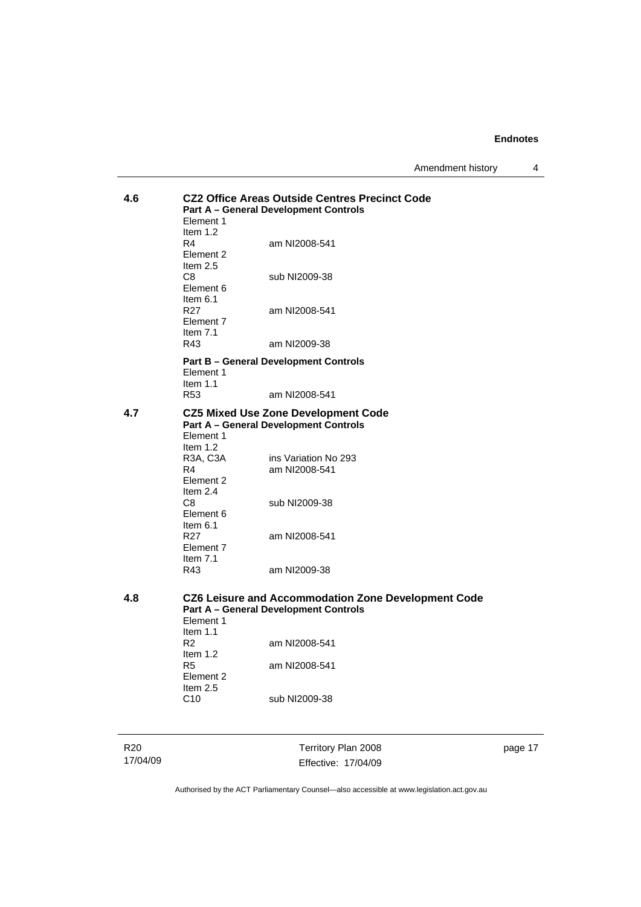Amendment history 4

| 4.6             | Element 1<br>Item $1.2$                                             | <b>CZ2 Office Areas Outside Centres Precinct Code</b><br><b>Part A - General Development Controls</b> |
|-----------------|---------------------------------------------------------------------|-------------------------------------------------------------------------------------------------------|
|                 | R4<br>Element 2<br>Item $2.5$                                       | am NI2008-541                                                                                         |
|                 | C8<br>Element 6<br>Item $6.1$                                       | sub NI2009-38                                                                                         |
|                 | R <sub>27</sub><br>Element 7<br>Item $7.1$                          | am NI2008-541                                                                                         |
|                 | R43                                                                 | am NI2009-38                                                                                          |
|                 | Element 1<br>Item $1.1$                                             | <b>Part B – General Development Controls</b>                                                          |
|                 | R53                                                                 | am NI2008-541                                                                                         |
| 4.7             | Element 1<br>Item $1.2$                                             | <b>CZ5 Mixed Use Zone Development Code</b><br><b>Part A - General Development Controls</b>            |
|                 | R <sub>3</sub> A, C <sub>3</sub> A<br>R4<br>Element 2<br>Item $2.4$ | ins Variation No 293<br>am NI2008-541                                                                 |
|                 | C <sub>8</sub><br>Element 6<br>Item 6.1                             | sub NI2009-38                                                                                         |
|                 | R <sub>27</sub><br>Element 7<br>Item $7.1$                          | am NI2008-541                                                                                         |
|                 | R43                                                                 | am NI2009-38                                                                                          |
| 4.8             | Element 1<br>Item $1.1$                                             | CZ6 Leisure and Accommodation Zone Development Code<br><b>Part A - General Development Controls</b>   |
|                 | R <sub>2</sub><br>Item $1.2$                                        | am NI2008-541                                                                                         |
|                 | R5<br>Element 2<br>Item 2.5                                         | am NI2008-541                                                                                         |
|                 | C10                                                                 | sub NI2009-38                                                                                         |
| R <sub>20</sub> |                                                                     | Territory Plan 2008                                                                                   |

17/04/09

Territory Plan 2008 Effective: 17/04/09 page 17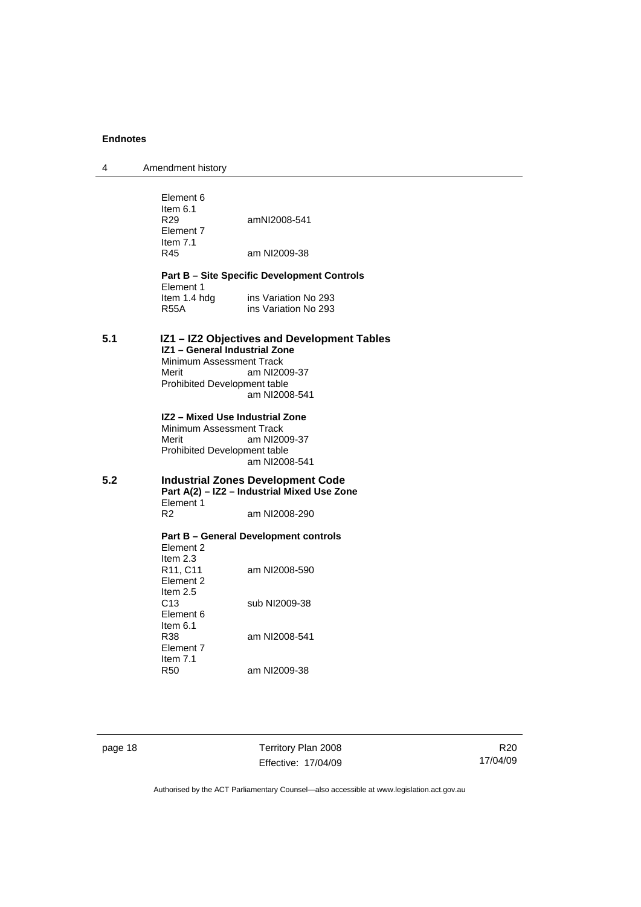4 Amendment history

|     | Element 6<br>Item $6.1$<br>R <sub>29</sub><br>Element 7<br>Item $7.1$<br>R45                         | amNI2008-541<br>am NI2009-38                                                                             |
|-----|------------------------------------------------------------------------------------------------------|----------------------------------------------------------------------------------------------------------|
|     | Element 1<br>Item 1.4 hdg<br><b>R55A</b>                                                             | <b>Part B - Site Specific Development Controls</b><br>ins Variation No 293<br>ins Variation No 293       |
| 5.1 | IZ1 - General Industrial Zone<br>Minimum Assessment Track<br>Merit<br>Prohibited Development table   | IZ1 - IZ2 Objectives and Development Tables<br>am NI2009-37<br>am NI2008-541                             |
|     | IZ2 - Mixed Use Industrial Zone<br>Minimum Assessment Track<br>Merit<br>Prohibited Development table | am NI2009-37<br>am NI2008-541                                                                            |
| 5.2 | Element 1<br>R <sub>2</sub>                                                                          | <b>Industrial Zones Development Code</b><br>Part A(2) - IZ2 - Industrial Mixed Use Zone<br>am NI2008-290 |
|     | Element 2                                                                                            | <b>Part B - General Development controls</b>                                                             |
|     | Item $2.3$<br>R <sub>11</sub> , C <sub>11</sub><br>Element 2                                         | am NI2008-590                                                                                            |
|     | Item $2.5$<br>C <sub>13</sub><br>Element 6                                                           | sub NI2009-38                                                                                            |
|     | Item 6.1<br>R38<br>Element 7                                                                         | am NI2008-541                                                                                            |
|     | Item $7.1$<br><b>R50</b>                                                                             | am NI2009-38                                                                                             |

page 18 Territory Plan 2008 Effective: 17/04/09

R20 17/04/09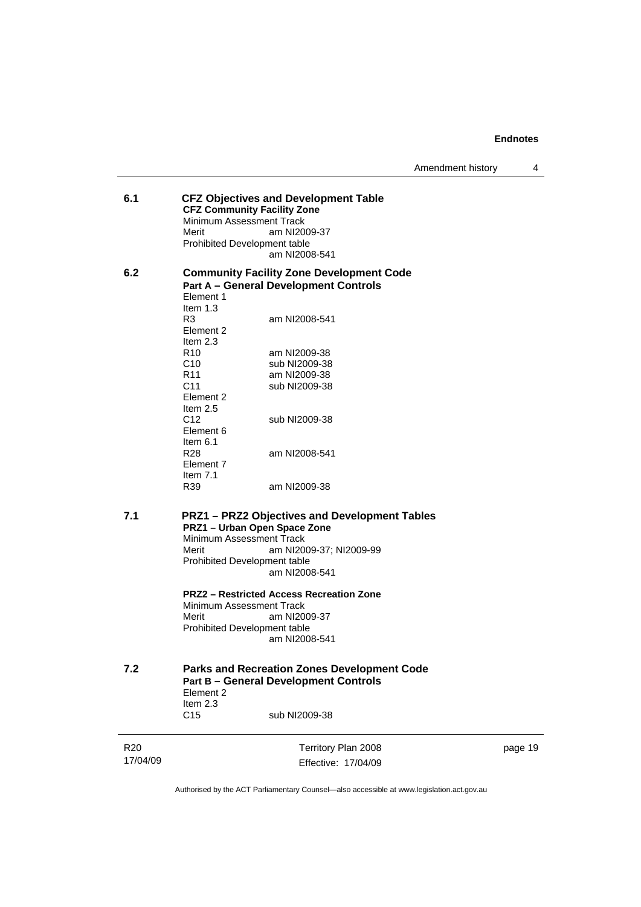Amendment history 4

- **6.1 CFZ Objectives and Development Table CFZ Community Facility Zone**  Minimum Assessment Track Merit am NI2009-37 Prohibited Development table am NI2008-541 **6.2 Community Facility Zone Development Code**
- **Part A General Development Controls**  Element 1 Item 1.3 R3 am NI2008-541 Element 2 Item  $2.3$ <br>R<sub>10</sub> R10 am NI2009-38<br>C10 sub NI2009-38 C10 sub NI2009-38<br>R11 am NI2009-38 R11 am NI2009-38<br>C11 sub NI2009-38 sub NI2009-38 Element 2 Item 2.5 C12 sub NI2009-38 Element 6 Item  $6.1$ <br>R28 am NI2008-541 Element 7 Item 7.1 R39 am NI2009-38
- **7.1 PRZ1 PRZ2 Objectives and Development Tables PRZ1 – Urban Open Space Zone**  Minimum Assessment Track Merit am NI2009-37; NI2009-99 Prohibited Development table am NI2008-541

**PRZ2 – Restricted Access Recreation Zone**  Minimum Assessment Track Merit am NI2009-37 Prohibited Development table am NI2008-541

**7.2 Parks and Recreation Zones Development Code Part B – General Development Controls**  Element 2 Item 2.3 C15 sub NI2009-38

R20 17/04/09 Territory Plan 2008 Effective: 17/04/09 page 19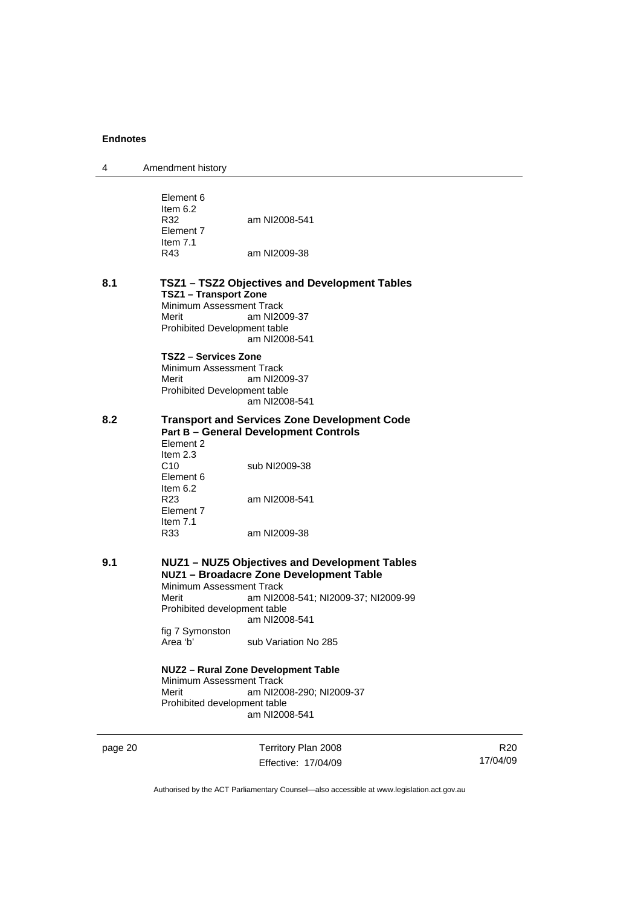| 4       | Amendment history                                                                                                                                                                                                                                                                                                                                                                                                                     |
|---------|---------------------------------------------------------------------------------------------------------------------------------------------------------------------------------------------------------------------------------------------------------------------------------------------------------------------------------------------------------------------------------------------------------------------------------------|
|         | Element 6<br>Item $6.2$<br>R32<br>am NI2008-541<br>Element 7<br>Item $7.1$<br>R43<br>am NI2009-38                                                                                                                                                                                                                                                                                                                                     |
| 8.1     | TSZ1 - TSZ2 Objectives and Development Tables<br><b>TSZ1 - Transport Zone</b><br>Minimum Assessment Track<br>Merit<br>am NI2009-37<br>Prohibited Development table<br>am NI2008-541                                                                                                                                                                                                                                                   |
|         | <b>TSZ2 - Services Zone</b><br>Minimum Assessment Track<br>Merit<br>am NI2009-37<br>Prohibited Development table<br>am NI2008-541                                                                                                                                                                                                                                                                                                     |
| 8.2     | <b>Transport and Services Zone Development Code</b><br><b>Part B - General Development Controls</b><br>Element 2<br>Item $2.3$<br>C <sub>10</sub><br>sub NI2009-38<br>Element 6<br>Item $6.2$<br>R <sub>23</sub><br>am NI2008-541<br>Element 7<br>Item $7.1$<br>R33<br>am NI2009-38                                                                                                                                                   |
| 9.1     | NUZ1 - NUZ5 Objectives and Development Tables<br>NUZ1 - Broadacre Zone Development Table<br>Minimum Assessment Track<br>Merit<br>am NI2008-541; NI2009-37; NI2009-99<br>Prohibited development table<br>am NI2008-541<br>fig 7 Symonston<br>Area 'b'<br>sub Variation No 285<br>NUZ2 - Rural Zone Development Table<br>Minimum Assessment Track<br>Merit<br>am NI2008-290; NI2009-37<br>Prohibited development table<br>am NI2008-541 |
| page 20 | Territory Plan 2008<br>Effective: 17/04/09                                                                                                                                                                                                                                                                                                                                                                                            |

R20 17/04/09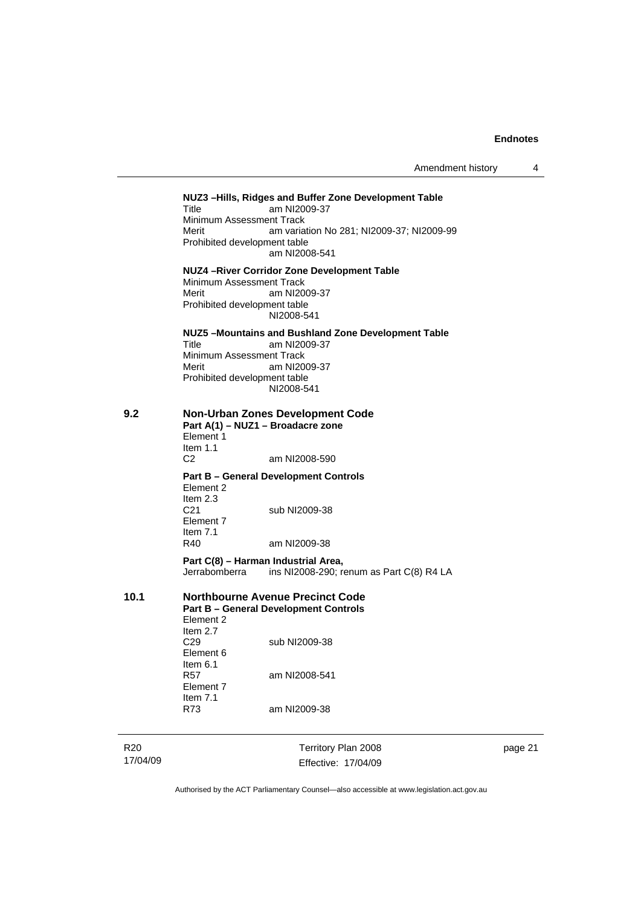Amendment history 4

R20 17/04/09 Territory Plan 2008 Effective: 17/04/09 page 21 **NUZ3 –Hills, Ridges and Buffer Zone Development Table**  Title am NI2009-37 Minimum Assessment Track<br>Merit am varia am variation No 281; NI2009-37; NI2009-99 Prohibited development table am NI2008-541 **NUZ4 –River Corridor Zone Development Table**  Minimum Assessment Track Merit am NI2009-37 Prohibited development table NI2008-541 **NUZ5 –Mountains and Bushland Zone Development Table**  Title am NI2009-37 Minimum Assessment Track Merit am NI2009-37 Prohibited development table NI2008-541 **9.2 Non-Urban Zones Development Code Part A(1) – NUZ1 – Broadacre zone**  Element 1 Item 1.1 C2 am NI2008-590 **Part B – General Development Controls**  Element 2 Item 2.3 C21 sub NI2009-38 Element 7 Item 7.1 R40 am NI2009-38 **Part C(8) – Harman Industrial Area,**<br>Jerrabomberra ins NI2008-290; re ins NI2008-290; renum as Part C(8) R4 LA **10.1 Northbourne Avenue Precinct Code Part B – General Development Controls**  Element 2 Item  $2.7$ <br>C<sub>29</sub> sub NI2009-38 Element 6 Item 6.1 R57 am NI2008-541 Element 7 Item 7.1 R73 am NI2009-38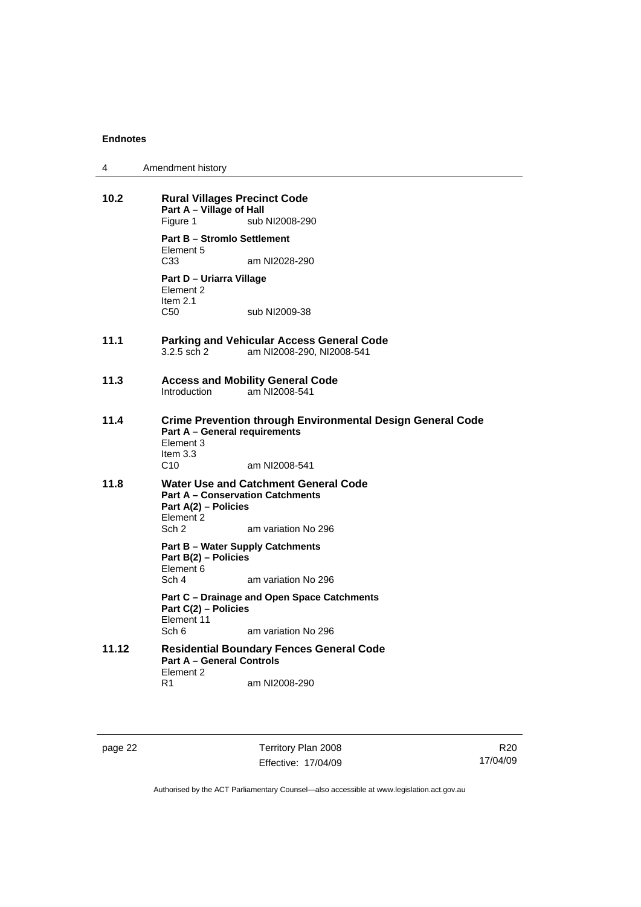| 4 | Amendment history |
|---|-------------------|
|---|-------------------|

| 10.2  | <b>Rural Villages Precinct Code</b><br>Part A - Village of Hall<br>Figure 1<br>sub NI2008-290                                                                |                                                                               |  |
|-------|--------------------------------------------------------------------------------------------------------------------------------------------------------------|-------------------------------------------------------------------------------|--|
|       | <b>Part B - Stromlo Settlement</b>                                                                                                                           |                                                                               |  |
|       | Element 5<br>C <sub>33</sub>                                                                                                                                 | am NI2028-290                                                                 |  |
|       | Part D - Uriarra Village<br>Element 2<br>Item $2.1$                                                                                                          |                                                                               |  |
|       | C50                                                                                                                                                          | sub NI2009-38                                                                 |  |
| 11.1  | 3.2.5 sch 2                                                                                                                                                  | <b>Parking and Vehicular Access General Code</b><br>am NI2008-290, NI2008-541 |  |
| 11.3  | Introduction                                                                                                                                                 | <b>Access and Mobility General Code</b><br>am NI2008-541                      |  |
| 11.4  | <b>Crime Prevention through Environmental Design General Code</b><br><b>Part A - General requirements</b><br>Element 3<br>Item $3.3$<br>C10<br>am NI2008-541 |                                                                               |  |
| 11.8  | Water Use and Catchment General Code<br><b>Part A - Conservation Catchments</b><br>Part A(2) - Policies<br>Element 2<br>Sch 2<br>am variation No 296         |                                                                               |  |
|       | <b>Part B - Water Supply Catchments</b><br>Part B(2) - Policies<br>Element 6<br>Sch 4<br>am variation No 296                                                 |                                                                               |  |
|       | Part C - Drainage and Open Space Catchments<br>Part C(2) - Policies<br>Element 11<br>Sch 6<br>am variation No 296                                            |                                                                               |  |
| 11.12 | <b>Residential Boundary Fences General Code</b><br><b>Part A - General Controls</b><br>Element 2                                                             |                                                                               |  |
|       | R1                                                                                                                                                           | am NI2008-290                                                                 |  |

page 22 Territory Plan 2008 Effective: 17/04/09

R20 17/04/09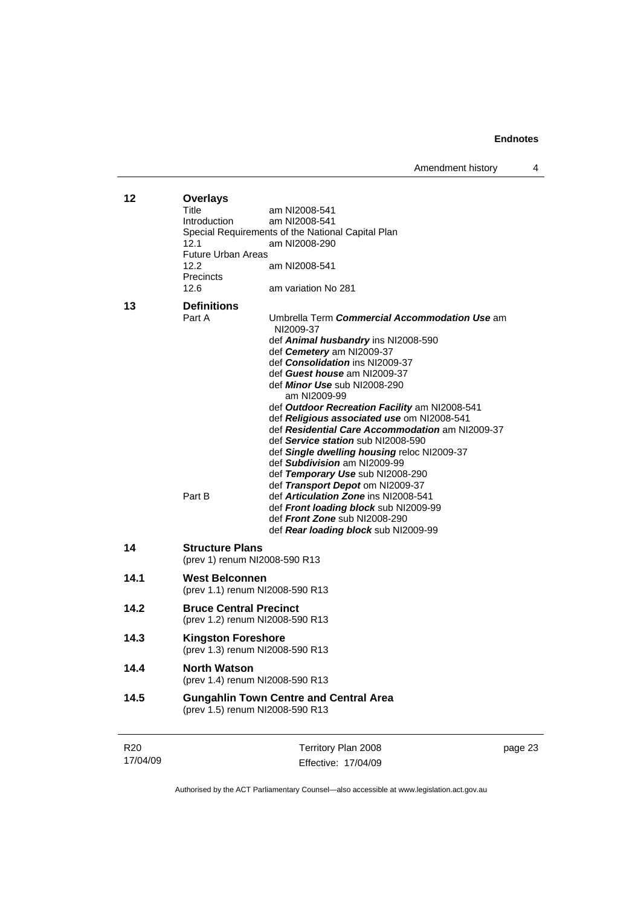Amendment history 4

| 12              | <b>Overlays</b><br>Title<br>Introduction                         | am NI2008-541<br>am NI2008-541<br>Special Requirements of the National Capital Plan               |         |
|-----------------|------------------------------------------------------------------|---------------------------------------------------------------------------------------------------|---------|
|                 | 12.1                                                             | am NI2008-290                                                                                     |         |
|                 | <b>Future Urban Areas</b><br>12.2<br><b>Precincts</b>            | am NI2008-541                                                                                     |         |
|                 | 12.6                                                             | am variation No 281                                                                               |         |
| 13              | <b>Definitions</b><br>Part A                                     | Umbrella Term Commercial Accommodation Use am<br>NI2009-37<br>def Animal husbandry ins NI2008-590 |         |
|                 |                                                                  | def Cemetery am NI2009-37<br>def Consolidation ins NI2009-37                                      |         |
|                 |                                                                  | def Guest house am NI2009-37                                                                      |         |
|                 |                                                                  | def Minor Use sub NI2008-290                                                                      |         |
|                 |                                                                  | am NI2009-99                                                                                      |         |
|                 |                                                                  | def Outdoor Recreation Facility am NI2008-541<br>def Religious associated use om NI2008-541       |         |
|                 |                                                                  | def Residential Care Accommodation am NI2009-37                                                   |         |
|                 |                                                                  | def Service station sub NI2008-590                                                                |         |
|                 |                                                                  | def Single dwelling housing reloc NI2009-37<br>def Subdivision am NI2009-99                       |         |
|                 |                                                                  | def Temporary Use sub NI2008-290                                                                  |         |
|                 | Part B                                                           | def Transport Depot om NI2009-37                                                                  |         |
|                 |                                                                  | def <b>Articulation Zone</b> ins NI2008-541<br>def Front loading block sub NI2009-99              |         |
|                 |                                                                  | def Front Zone sub NI2008-290                                                                     |         |
|                 |                                                                  | def Rear loading block sub NI2009-99                                                              |         |
| 14              | <b>Structure Plans</b>                                           | (prev 1) renum NI2008-590 R13                                                                     |         |
| 14.1            | <b>West Belconnen</b>                                            | (prev 1.1) renum NI2008-590 R13                                                                   |         |
| 14.2            | <b>Bruce Central Precinct</b><br>(prev 1.2) renum NI2008-590 R13 |                                                                                                   |         |
| 14.3            | <b>Kingston Foreshore</b><br>(prev 1.3) renum NI2008-590 R13     |                                                                                                   |         |
| 14.4            | <b>North Watson</b>                                              | (prev 1.4) renum NI2008-590 R13                                                                   |         |
| 14.5            |                                                                  | <b>Gungahlin Town Centre and Central Area</b><br>(prev 1.5) renum NI2008-590 R13                  |         |
| R <sub>20</sub> |                                                                  | Territory Plan 2008                                                                               | page 23 |

Authorised by the ACT Parliamentary Counsel—also accessible at www.legislation.act.gov.au

Effective: 17/04/09

17/04/09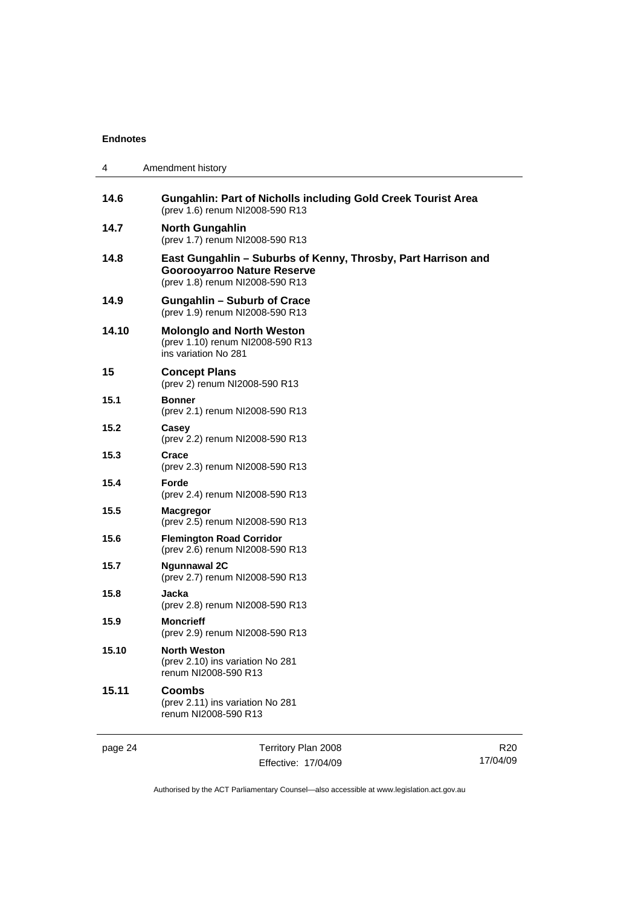| 4       | Amendment history                                                                                                                      |
|---------|----------------------------------------------------------------------------------------------------------------------------------------|
| 14.6    | <b>Gungahlin: Part of Nicholls including Gold Creek Tourist Area</b><br>(prev 1.6) renum NI2008-590 R13                                |
| 14.7    | <b>North Gungahlin</b><br>(prev 1.7) renum NI2008-590 R13                                                                              |
| 14.8    | East Gungahlin – Suburbs of Kenny, Throsby, Part Harrison and<br><b>Goorooyarroo Nature Reserve</b><br>(prev 1.8) renum NI2008-590 R13 |
| 14.9    | <b>Gungahlin - Suburb of Crace</b><br>(prev 1.9) renum NI2008-590 R13                                                                  |
| 14.10   | <b>Molonglo and North Weston</b><br>(prev 1.10) renum NI2008-590 R13<br>ins variation No 281                                           |
| 15      | <b>Concept Plans</b><br>(prev 2) renum NI2008-590 R13                                                                                  |
| 15.1    | <b>Bonner</b><br>(prev 2.1) renum NI2008-590 R13                                                                                       |
| 15.2    | Casey<br>(prev 2.2) renum NI2008-590 R13                                                                                               |
| 15.3    | Crace<br>(prev 2.3) renum NI2008-590 R13                                                                                               |
| 15.4    | Forde<br>(prev 2.4) renum NI2008-590 R13                                                                                               |
| 15.5    | <b>Macgregor</b><br>(prev 2.5) renum NI2008-590 R13                                                                                    |
| 15.6    | <b>Flemington Road Corridor</b><br>(prev 2.6) renum NI2008-590 R13                                                                     |
| 15.7    | <b>Ngunnawal 2C</b><br>(prev 2.7) renum NI2008-590 R13                                                                                 |
| 15.8    | Jacka<br>(prev 2.8) renum NI2008-590 R13                                                                                               |
| 15.9    | <b>Moncrieff</b><br>(prev 2.9) renum NI2008-590 R13                                                                                    |
| 15.10   | North Weston<br>(prev 2.10) ins variation No 281<br>renum NI2008-590 R13                                                               |
| 15.11   | <b>Coombs</b><br>(prev 2.11) ins variation No 281<br>renum NI2008-590 R13                                                              |
| page 24 | Territory Plan 2008                                                                                                                    |

Effective: 17/04/09

R20 17/04/09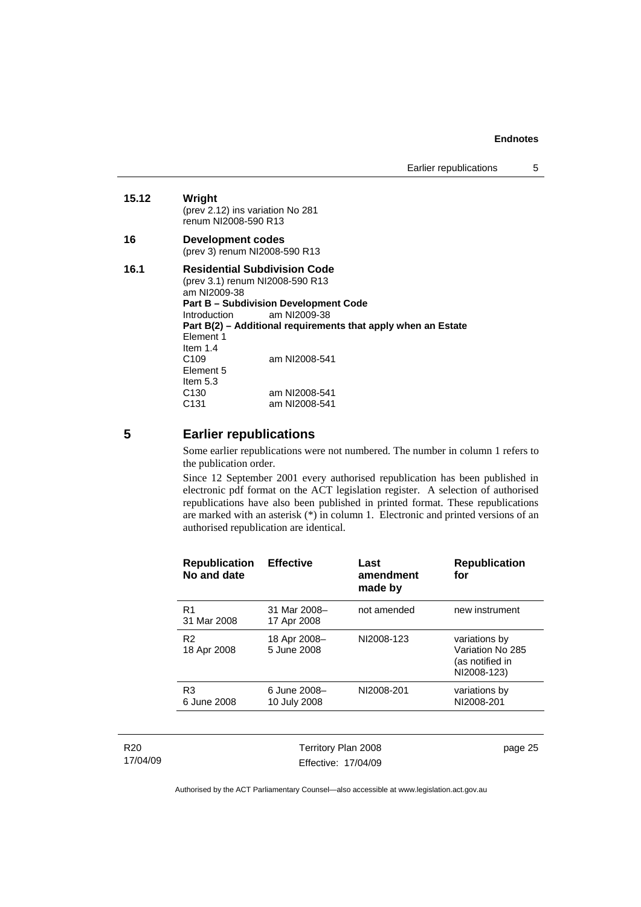#### **15.12 Wright**

(prev 2.12) ins variation No 281 renum NI2008-590 R13

#### **16 Development codes**  (prev 3) renum NI2008-590 R13

#### **16.1 Residential Subdivision Code**  (prev 3.1) renum NI2008-590 R13 am NI2009-38 **Part B – Subdivision Development Code**<br>Introduction am NI2009-38 am NI2009-38 **Part B(2) – Additional requirements that apply when an Estate**  Element 1 Item 1.4<br>C109 am NI2008-541 Element 5 Item 5.3 C130 am NI2008-541<br>C131 am NI2008-541 am NI2008-541

**5 Earlier republications** 

Some earlier republications were not numbered. The number in column 1 refers to the publication order.

Since 12 September 2001 every authorised republication has been published in electronic pdf format on the ACT legislation register. A selection of authorised republications have also been published in printed format. These republications are marked with an asterisk (\*) in column 1. Electronic and printed versions of an authorised republication are identical.

| <b>Republication</b><br>No and date | <b>Effective</b>             | Last<br>amendment<br>made by | <b>Republication</b><br>for                                         |
|-------------------------------------|------------------------------|------------------------------|---------------------------------------------------------------------|
| R <sub>1</sub><br>31 Mar 2008       | 31 Mar 2008-<br>17 Apr 2008  | not amended                  | new instrument                                                      |
| R <sub>2</sub><br>18 Apr 2008       | 18 Apr 2008-<br>5 June 2008  | NI2008-123                   | variations by<br>Variation No 285<br>(as notified in<br>NI2008-123) |
| R <sub>3</sub><br>6 June 2008       | 6 June 2008-<br>10 July 2008 | NI2008-201                   | variations by<br>NI2008-201                                         |
|                                     |                              |                              |                                                                     |

| R <sub>20</sub> |
|-----------------|
| 17/04/09        |

Territory Plan 2008 Effective: 17/04/09 page 25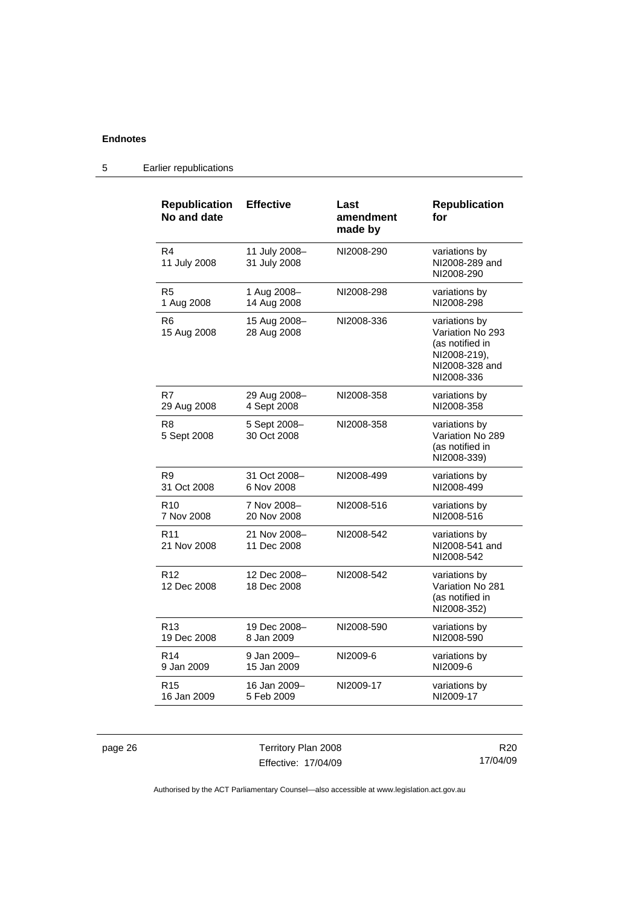| <b>Republication</b><br>No and date | <b>Effective</b>              | Last<br>amendment<br>made by | <b>Republication</b><br>for                                                                          |
|-------------------------------------|-------------------------------|------------------------------|------------------------------------------------------------------------------------------------------|
| R4<br>11 July 2008                  | 11 July 2008-<br>31 July 2008 | NI2008-290                   | variations by<br>NI2008-289 and<br>NI2008-290                                                        |
| R <sub>5</sub>                      | 1 Aug 2008-                   | NI2008-298                   | variations by                                                                                        |
| 1 Aug 2008                          | 14 Aug 2008                   |                              | NI2008-298                                                                                           |
| R6<br>15 Aug 2008                   | 15 Aug 2008–<br>28 Aug 2008   | NI2008-336                   | variations by<br>Variation No 293<br>(as notified in<br>NI2008-219),<br>NI2008-328 and<br>NI2008-336 |
| R7                                  | 29 Aug 2008-                  | NI2008-358                   | variations by                                                                                        |
| 29 Aug 2008                         | 4 Sept 2008                   |                              | NI2008-358                                                                                           |
| R8<br>5 Sept 2008                   | 5 Sept 2008-<br>30 Oct 2008   | NI2008-358                   | variations by<br>Variation No 289<br>(as notified in<br>NI2008-339)                                  |
| R <sub>9</sub>                      | 31 Oct 2008-                  | NI2008-499                   | variations by                                                                                        |
| 31 Oct 2008                         | 6 Nov 2008                    |                              | NI2008-499                                                                                           |
| R <sub>10</sub>                     | 7 Nov 2008-                   | NI2008-516                   | variations by                                                                                        |
| 7 Nov 2008                          | 20 Nov 2008                   |                              | NI2008-516                                                                                           |
| R <sub>11</sub><br>21 Nov 2008      | 21 Nov 2008-<br>11 Dec 2008   | NI2008-542                   | variations by<br>NI2008-541 and<br>NI2008-542                                                        |
| R <sub>12</sub><br>12 Dec 2008      | 12 Dec 2008-<br>18 Dec 2008   | NI2008-542                   | variations by<br>Variation No 281<br>(as notified in<br>NI2008-352)                                  |
| R <sub>13</sub>                     | 19 Dec 2008-                  | NI2008-590                   | variations by                                                                                        |
| 19 Dec 2008                         | 8 Jan 2009                    |                              | NI2008-590                                                                                           |
| R <sub>14</sub>                     | 9 Jan 2009-                   | NI2009-6                     | variations by                                                                                        |
| 9 Jan 2009                          | 15 Jan 2009                   |                              | NI2009-6                                                                                             |
| R <sub>15</sub>                     | 16 Jan 2009-                  | NI2009-17                    | variations by                                                                                        |
| 16 Jan 2009                         | 5 Feb 2009                    |                              | NI2009-17                                                                                            |

# 5 Earlier republications

page 26 Territory Plan 2008 Effective: 17/04/09

R20 17/04/09